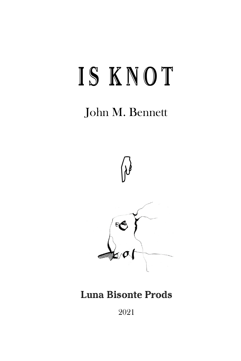# IS KNOT

# John M. Bennett



## **Luna Bisonte Prods**

2021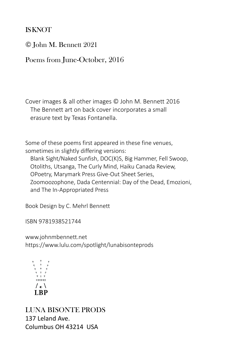#### IS KNOT

© John M. Bennett 2021

Poems from June-October, 2016

Cover images & all other images © John M. Bennett 2016 The Bennett art on back cover incorporates a small erasure text by Texas Fontanella.

Some of these poems first appeared in these fine venues, sometimes in slightly differing versions:

Blank Sight/Naked Sunfish, DOC(K)S, Big Hammer, Fell Swoop, Otoliths, Utsanga, The Curly Mind, Haiku Canada Review, OPoetry, Marymark Press Give-Out Sheet Series, Zoomoozophone, Dada Centennial: Day of the Dead, Emozioni, and The In-Appropriated Press

Book Design by C. Mehrl Bennett

ISBN 9781938521744

www.johnmbennett.net https://www.lulu.com/spotlight/lunabisonteprods



LUNA BISONTE PRODS 137 Leland Ave. Columbus OH 43214 USA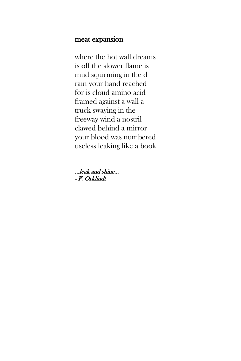#### meat expansion

where the hot wall dreams is off the slower flame is mud squirming in the d rain your hand reached for is cloud amino acid framed against a wall a truck swaying in the freeway wind a nostril clawed behind a mirror your blood was numbered useless leaking like a book

...leak and shine... - F. Orklindt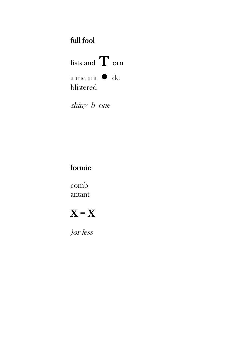## full fool

fists and  $\mathbf T$  orn a me ant  $\bullet$  de blistered

shiny b one

### formic

comb antant

# $X = X$

 $\int$  *or*  $\int$  *less*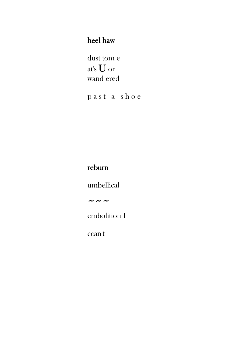#### heel haw

dust tom e at's  $\boldsymbol{\mathbf{U}}$  or wand ered

past a shoe

### reburn

umbellical

 $\sim$   $\sim$   $\sim$ 

embolition I

ccan't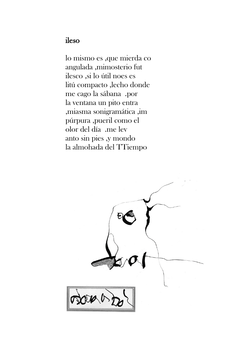#### ileso

lo mismo es ,que mierda co angulada ,mimosterio fut ilesco ,si lo útil noes es litú compacto ,lecho donde me cago la sábana .por la ventana un pito entra ,miasma sonigramática ,im púrpura ,pueril como el olor del día .me lev anto sin pies ,y mondo la almohada del TTiempo

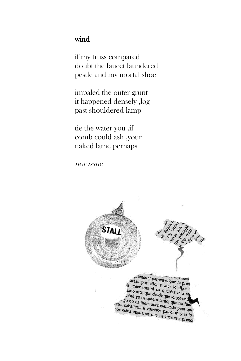#### wind

if my truss compared doubt the faucet laundered pestle and my mortal shoe

impaled the outer grunt it happened densely ,log past shouldered lamp

tie the water you ,if comb could ash ,your naked lame perhaps

nor issue

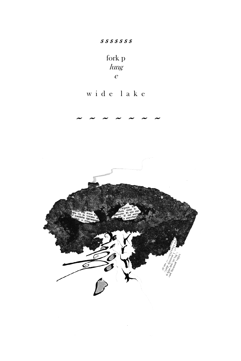#### $S S S S S S S$

fork $\mathbf{p}$  $\lim_{\mathcal{S}}$  $\boldsymbol{e}$ 

## wide lake

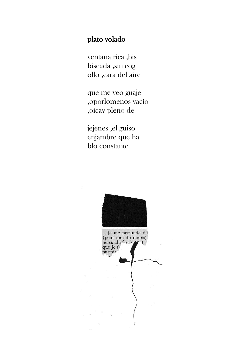#### plato volado

ventana rica ,bis biseada ,sin cog ollo ,cara del aire

que me veo guaje ,oporlomenos vacío ,oícav pleno de

jejenes ,el guiso enjambre que ha blo constante